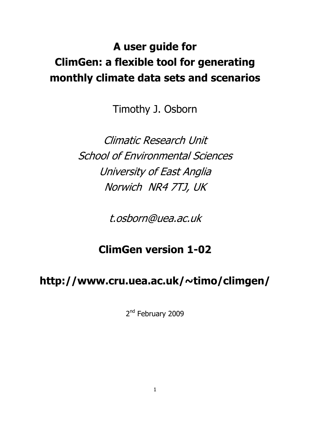# **A user guide for ClimGen: a flexible tool for generating monthly climate data sets and scenarios**

Timothy J. Osborn

Climatic Research Unit School of Environmental Sciences University of East Anglia Norwich NR4 7TJ, UK

t.osborn@uea.ac.uk

## **ClimGen version 1-02**

## **http://www.cru.uea.ac.uk/~timo/climgen/**

2<sup>nd</sup> February 2009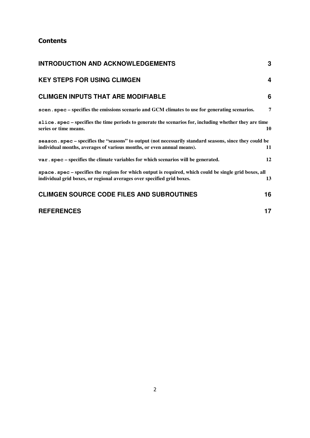## **Contents**

| <b>INTRODUCTION AND ACKNOWLEDGEMENTS</b>                                                                                                                                           | 3              |
|------------------------------------------------------------------------------------------------------------------------------------------------------------------------------------|----------------|
| <b>KEY STEPS FOR USING CLIMGEN</b>                                                                                                                                                 | 4              |
| <b>CLIMGEN INPUTS THAT ARE MODIFIABLE</b>                                                                                                                                          | 6              |
| scen, spec – specifies the emissions scenario and GCM climates to use for generating scenarios.                                                                                    | $\overline{7}$ |
| slice. spec - specifies the time periods to generate the scenarios for, including whether they are time<br>series or time means.                                                   | 10             |
| season . spec – specifies the "seasons" to output (not necessarily standard seasons, since they could be<br>individual months, averages of various months, or even annual means).  | 11             |
| var . spec – specifies the climate variables for which scenarios will be generated.                                                                                                | 12             |
| space . spec – specifies the regions for which output is required, which could be single grid boxes, all<br>individual grid boxes, or regional averages over specified grid boxes. | 13             |
| <b>CLIMGEN SOURCE CODE FILES AND SUBROUTINES</b>                                                                                                                                   | 16             |
| <b>REFERENCES</b>                                                                                                                                                                  | 17             |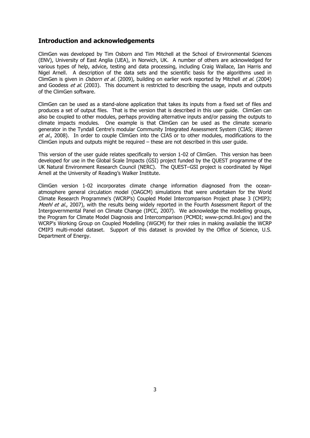## **Introduction and acknowledgements**

ClimGen was developed by Tim Osborn and Tim Mitchell at the School of Environmental Sciences (ENV), University of East Anglia (UEA), in Norwich, UK. A number of others are acknowledged for various types of help, advice, testing and data processing, including Craig Wallace, Ian Harris and Nigel Arnell. A description of the data sets and the scientific basis for the algorithms used in ClimGen is given in *Osborn et al.* (2009), building on earlier work reported by Mitchell et al. (2004) and Goodess et al. (2003). This document is restricted to describing the usage, inputs and outputs of the ClimGen software.

ClimGen can be used as a stand-alone application that takes its inputs from a fixed set of files and produces a set of output files. That is the version that is described in this user guide. ClimGen can also be coupled to other modules, perhaps providing alternative inputs and/or passing the outputs to climate impacts modules. One example is that ClimGen can be used as the climate scenario generator in the Tyndall Centre's modular Community Integrated Assessment System (CIAS; Warren et al., 2008). In order to couple ClimGen into the CIAS or to other modules, modifications to the ClimGen inputs and outputs might be required – these are not described in this user guide.

This version of the user guide relates specifically to version 1-02 of ClimGen. This version has been developed for use in the Global Scale Impacts (GSI) project funded by the QUEST programme of the UK Natural Environment Research Council (NERC). The QUEST–GSI project is coordinated by Nigel Arnell at the University of Reading's Walker Institute.

ClimGen version 1-02 incorporates climate change information diagnosed from the oceanatmosphere general circulation model (OAGCM) simulations that were undertaken for the World Climate Research Programme's (WCRP's) Coupled Model Intercomparison Project phase 3 (CMIP3; Meehl et al., 2007), with the results being widely reported in the Fourth Assessment Report of the Intergovernmental Panel on Climate Change (IPCC, 2007). We acknowledge the modelling groups, the Program for Climate Model Diagnosis and Intercomparison (PCMDI; www-pcmdi.llnl.gov) and the WCRP's Working Group on Coupled Modelling (WGCM) for their roles in making available the WCRP CMIP3 multi-model dataset. Support of this dataset is provided by the Office of Science, U.S. Department of Energy.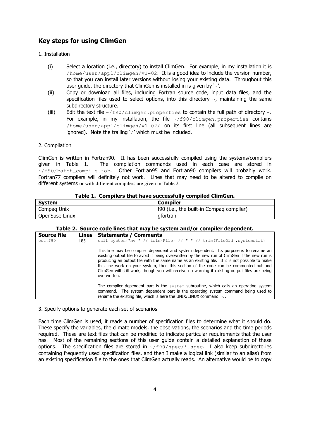## **Key steps for using ClimGen**

## 1. Installation

- (i) Select a location (i.e., directory) to install ClimGen. For example, in my installation it is  $h$ ome/user/appl/climgen/v1-02. It is a good idea to include the version number, so that you can install later versions without losing your existing data. Throughout this user quide, the directory that ClimGen is installed in is given by  $\sim$ .
- (ii) Copy or download all files, including Fortran source code, input data files, and the specification files used to select options, into this directory  $\sim$ , maintaining the same subdirectory structure.
- (iii) Edit the text file  $\frac{2}{5}$  / f90/climgen.properties to contain the full path of directory  $\sim$ . For example, in my installation, the file  $\sim$ /f90/climgen.properties contains /home/user/appl/climgen/v1-02/ on its first line (all subsequent lines are ignored). Note the trailing  $\frac{1}{2}$  which must be included.

## 2. Compilation

ClimGen is written in Fortran90. It has been successfully compiled using the systems/compilers given in Table 1. The compilation commands used in each case are stored in  $\sim$ /f90/batch compile.job. Other Fortran95 and Fortran90 compilers will probably work. Fortran77 compilers will definitely not work. Lines that may need to be altered to compile on different systems or with different compilers are given in Table 2.

## **Table 1. Compilers that have successfully compiled ClimGen.**

| <b>System</b>  | <b>Compiler</b>                          |
|----------------|------------------------------------------|
| Compag Unix    | f90 (i.e., the built-in Compag compiler) |
| OpenSuse Linux | afortran                                 |

## **Table 2. Source code lines that may be system and/or compiler dependent.**

| <b>Source file</b> | Lines | <b>Statements / Comments</b>                                                                                                                                                                                                                                                                                                                                                                                                                                                                         |
|--------------------|-------|------------------------------------------------------------------------------------------------------------------------------------------------------------------------------------------------------------------------------------------------------------------------------------------------------------------------------------------------------------------------------------------------------------------------------------------------------------------------------------------------------|
| out.f90            | 185   | call system ("mv " // trim (File) // " " // trim (FileOld), systemstat)                                                                                                                                                                                                                                                                                                                                                                                                                              |
|                    |       | This line may be compiler dependent and system dependent. Its purpose is to rename an<br>existing output file to avoid it being overwritten by the new run of ClimGen if the new run is<br>producing an output file with the same name as an existing file. If it is not possible to make<br>this line work on your system, then this section of the code can be commented out and<br>ClimGen will still work, though you will receive no warning if existing output files are being<br>overwritten. |
|                    |       | The compiler dependent part is the system subroutine, which calls an operating system<br>command. The system dependent part is the operating system command being used to<br>rename the existing file, which is here the UNIX/LINUX command $mv$ .                                                                                                                                                                                                                                                   |

3. Specify options to generate each set of scenarios

Each time ClimGen is used, it reads a number of specification files to determine what it should do. These specify the variables, the climate models, the observations, the scenarios and the time periods required. These are text files that can be modified to indicate particular requirements that the user has. Most of the remaining sections of this user guide contain a detailed explanation of these options. The specification files are stored in  $\sim$ /f90/spec/\*.spec. I also keep subdirectories containing frequently used specification files, and then I make a logical link (similar to an alias) from an existing specification file to the ones that ClimGen actually reads. An alternative would be to copy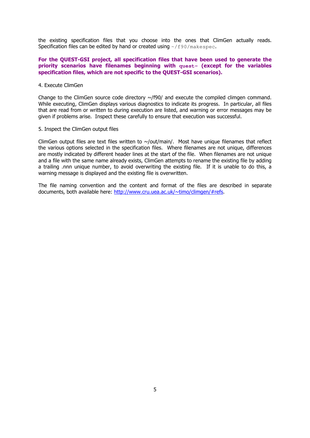the existing specification files that you choose into the ones that ClimGen actually reads. Specification files can be edited by hand or created using  $\sim$ /f90/makespec.

## **For the QUEST-GSI project, all specification files that have been used to generate the priority scenarios have filenames beginning with quest- (except for the variables specification files, which are not specific to the QUEST-GSI scenarios).**

## 4. Execute ClimGen

Change to the ClimGen source code directory  $\sim$ /f90/ and execute the compiled climgen command. While executing, ClimGen displays various diagnostics to indicate its progress. In particular, all files that are read from or written to during execution are listed, and warning or error messages may be given if problems arise. Inspect these carefully to ensure that execution was successful.

## 5. Inspect the ClimGen output files

ClimGen output files are text files written to  $\sim$ /out/main/. Most have unique filenames that reflect the various options selected in the specification files. Where filenames are not unique, differences are mostly indicated by different header lines at the start of the file. When filenames are not unique and a file with the same name already exists, ClimGen attempts to rename the existing file by adding a trailing .nnn unique number, to avoid overwriting the existing file. If it is unable to do this, a warning message is displayed and the existing file is overwritten.

The file naming convention and the content and format of the files are described in separate documents, both available here: http://www.cru.uea.ac.uk/~timo/climgen/#refs.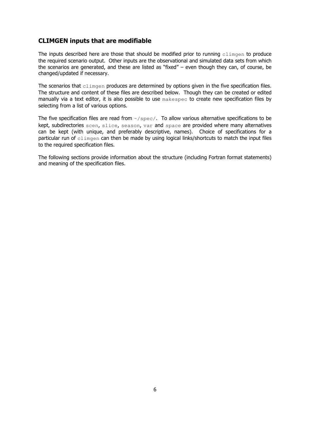## **CLIMGEN inputs that are modifiable**

The inputs described here are those that should be modified prior to running climgen to produce the required scenario output. Other inputs are the observational and simulated data sets from which the scenarios are generated, and these are listed as "fixed" – even though they can, of course, be changed/updated if necessary.

The scenarios that climgen produces are determined by options given in the five specification files. The structure and content of these files are described below. Though they can be created or edited manually via a text editor, it is also possible to use makespec to create new specification files by selecting from a list of various options.

The five specification files are read from  $\sim$ /spec/. To allow various alternative specifications to be kept, subdirectories scen, slice, season, var and space are provided where many alternatives can be kept (with unique, and preferably descriptive, names). Choice of specifications for a particular run of climgen can then be made by using logical links/shortcuts to match the input files to the required specification files.

The following sections provide information about the structure (including Fortran format statements) and meaning of the specification files.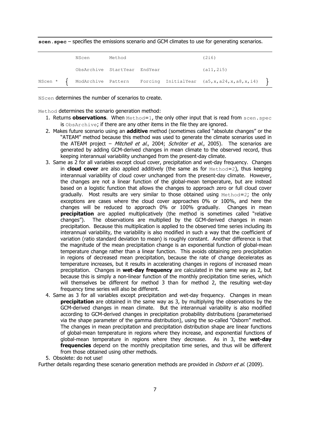**scen.spec** – specifies the emissions scenario and GCM climates to use for generating scenarios.

|  | NScen                        | Method |  | (2i6)                                                                                         |  |
|--|------------------------------|--------|--|-----------------------------------------------------------------------------------------------|--|
|  | ObsArchive StartYear EndYear |        |  | (a11, 2i5)                                                                                    |  |
|  |                              |        |  | NScen * $\left\{$ ModArchive Pattern Forcing InitialYear (a5, x, a24, x, a8, x, i4) $\left\{$ |  |

NScen determines the number of scenarios to create.

Method determines the scenario generation method:

- 1. Returns **observations.** When Method=1, the only other input that is read from scen.spec is ObsArchive; if there are any other items in the file they are ignored.
- 2. Makes future scenario using an **additive** method (sometimes called "absolute changes" or the "ATEAM" method because this method was used to generate the climate scenarios used in the ATEAM project – Mitchell et al., 2004; Schröter et al., 2005). The scenarios are generated by adding GCM-derived changes in mean climate to the observed record, thus keeping interannual variability unchanged from the present-day climate.
- 3. Same as 2 for all variables except cloud cover, precipitation and wet-day frequency. Changes in **cloud cover** are also applied additively (the same as for Method=2), thus keeping interannual variability of cloud cover unchanged from the present-day climate. However, the changes are not a linear function of the global-mean temperature, but are instead based on a logistic function that allows the changes to approach zero or full cloud cover gradually. Most results are very similar to those obtained using Method=2; the only exceptions are cases where the cloud cover approaches 0% or 100%, and here the changes will be reduced to approach 0% or 100% gradually. Changes in mean **precipitation** are applied multiplicatively (the method is sometimes called "relative changes"). The observations are multiplied by the GCM-derived changes in mean precipitation. Because this multiplication is applied to the observed time series including its interannual variability, the variability is also modified in such a way that the coefficient of variation (ratio standard deviation to mean) is roughly constant. Another difference is that the magnitude of the mean precipitation change is an exponential function of global-mean temperature change rather than a linear function. This avoids obtaining zero precipitation in regions of decreased mean precipitation, because the rate of change decelerates as temperature increases, but it results in accelerating changes in regions of increased mean precipitation. Changes in **wet-day frequency** are calculated in the same way as 2, but because this is simply a non-linear function of the monthly precipitation time series, which will themselves be different for method 3 than for method 2, the resulting wet-day frequency time series will also be different.
- 4. Same as 3 for all variables except precipitation and wet-day frequency. Changes in mean **precipitation** are obtained in the same way as 3, by multiplying the observations by the GCM-derived changes in mean climate. But the interannual variability is also modified according to GCM-derived changes in precipitation probability distributions (parameterised via the shape parameter of the gamma distribution), using the so-called "Osborn" method. The changes in mean precipitation and precipitation distribution shape are linear functions of global-mean temperature in regions where they increase, and exponential functions of global-mean temperature in regions where they decrease. As in 3, the **wet-day frequencies** depend on the monthly precipitation time series, and thus will be different from those obtained using other methods.

5. Obsolete: do not use!

Further details regarding these scenario generation methods are provided in Osborn et al. (2009).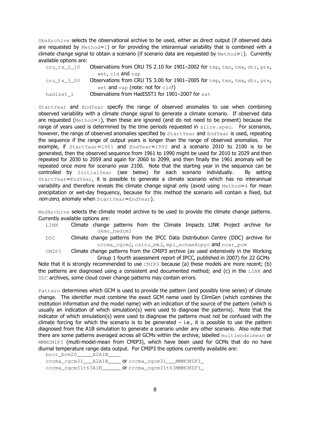ObsArchive selects the observational archive to be used, either as direct output (if observed data are requested by  $Method=1$ ) or for providing the interannual variability that is combined with a climate change signal to obtain a scenario (if scenario data are requested by  $Method>1$ ). Currently available options are:

| cru ts 2 10 | Observations from CRU TS 2.10 for 1901-2002 for $tmp, tmn, tmx, dtr, pre,$ |
|-------------|----------------------------------------------------------------------------|
|             | wet, cld and vap                                                           |
| cru ts 3 00 | Observations from CRU TS 3.00 for 1901-2005 for $tmp, tmn, tmx, dtr, pre,$ |
|             | wet and $\text{vap}$ (note: not for cld!)                                  |
| hadisst 1   | Observations from HadISST1 for 1901-2007 for sst                           |

StartYear and EndYear specify the range of observed anomalies to use when combining observed variability with a climate change signal to generate a climate scenario. If observed data are requested (Method=1), then these are ignored (and do not need to be present) because the range of years used is determined by the time periods requested in  $\text{slice}$ . spec. For scenarios, however, the range of observed anomalies specified by StartYear and EndYear is used, repeating the sequence if the range of output years is longer than the range of observed anomalies. For example, if  $startYear=1961$  and  $EndYear=1990$  and a scenario 2010 to 2100 is to be generated, then the observed sequence from 1961 to 1990 might be used for 2010 to 2029 and then repeated for 2030 to 2059 and again for 2060 to 2099, and then finally the 1961 anomaly will be repeated once more for scenario year 2100. Note that the starting year in the sequence can be controlled by InitialYear (see below) for each scenario individually. By setting StartYear=EndYear, it is possible to generate a climate scenario which has no interannual variability and therefore reveals the climate change signal only (avoid using  $Method=4$  for mean precipitation or wet-day frequency, because for this method the scenario will contain a fixed, but non-zero, anomaly when StartYear=EndYear).

ModArchive selects the climate model archive to be used to provide the climate change patterns. Currently available options are:

- LINK Climate change patterns from the Climate Impacts LINK Project archive for ukmo\_hadcm3
- DDC Climate change patterns from the IPCC Data Distribution Centre (DDC) archive for cccma\_cgcm2, csiro\_mk2, mpi\_echam4opyc and ncar\_pcm

CMIP3 Climate change patterns from the CMIP3 archive (as used extensively in the Working Group 1 fourth assessment report of IPCC, published in 2007) for 22 GCMs

Note that it is strongly recommended to use  $CMIP3$  because (a) these models are more recent; (b) the patterns are diagnosed using a consistent and documented method; and  $(c)$  in the LINK and DDC archives, some cloud cover change patterns may contain errors.

Pattern determines which GCM is used to provide the pattern (and possibly time series) of climate change. The identifier must combine the exact GCM name used by ClimGen (which combines the institution information and the model name) with an indication of the source of the pattern (which is usually an indication of which simulation(s) were used to diagnose the patterns). Note that the indicator of which simulation(s) were used to diagnose the patterns must not be confused with the climate forcing for which the scenario is to be generated  $-$  i.e., it is possible to use the pattern diagnosed from the A1B simulation to generate a scenario under any other scenario. Also note that there are some patterns averaged across all GCMs within the archive, labelled multimodelmean or MMMCMIP3 (multi-model-mean from CMIP3), which have been used for GCMs that do no have diurnal temperature range data output. For CMIP3 the options currently available are:

bccr\_bcm20\_\_\_\_\_A2A1B\_\_\_\_ cccma\_cgcm31\_\_\_A2A1B\_\_\_\_ or cccma\_cgcm31\_\_\_MMMCMIP3\_ cccma\_cgcm31t63A1B **or** cccma\_cgcm31t63MMMCMIP3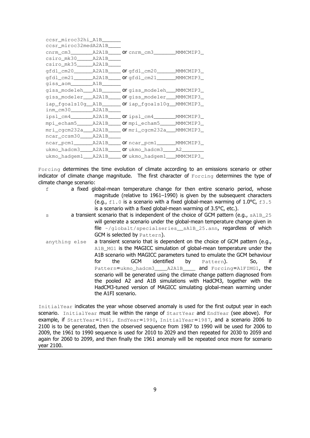| ccsr miroc32hi A1B                      |       |                                                           |  |
|-----------------------------------------|-------|-----------------------------------------------------------|--|
| ccsr miroc32medA2A1B                    |       |                                                           |  |
|                                         |       |                                                           |  |
| $\texttt{csiro\_mk30}\_\_\_A2A1B\_\_\_$ |       |                                                           |  |
| csiro_mk35______A2A1B_                  |       |                                                           |  |
| qfdl_cm20________A2A1B___               |       |                                                           |  |
|                                         |       | gfdl_cm21_________A2A1B_____ Orgfdl_cm21________MMMCMIP3_ |  |
| qiss_aom________                        | A1B   |                                                           |  |
| giss modeleh                            |       |                                                           |  |
| giss modeler                            | A2A1B | Orgiss_modeler___MMMCMIP3_                                |  |
| iap_fgoals10g_                          |       | AlB_______ Oriap_fgoals10g_MMMCMIP3_                      |  |
| <u>inm_cm30_____</u>                    | A2A1B |                                                           |  |
| ipsl_cm4_______                         | A2A1B |                                                           |  |
| mpi echam5                              | A2A1B | Or mpi_echam5______MMMCMIP3_                              |  |
| mri cqcm232a                            |       |                                                           |  |
| ncar_ccsm30__                           | A2A1B |                                                           |  |
| ncar_pcm1_______                        | A2A1B | _ Or ncar_pcm1________MMMCMIP3_                           |  |
| ukmo hadcm3                             | A2A1B | <b>Or</b> ukmo hadcm3 A2                                  |  |
| ukmo_hadgem1_                           |       |                                                           |  |

Forcing determines the time evolution of climate according to an emissions scenario or other indicator of climate change magnitude. The first character of Forcing determines the type of climate change scenario:

- f a fixed global-mean temperature change for then entire scenario period, whose magnitude (relative to 1961–1990) is given by the subsequent characters (e.g.,  $f1.0$  is a scenario with a fixed global-mean warming of  $1.0$ °C,  $f3.5$ is a scenario with a fixed global-mean warming of 3.5°C, etc.). s a transient scenario that is independent of the choice of GCM pattern (e.g., sA1B 25 will generate a scenario under the global-mean temperature change given in
- file  $\sim$ /globalt/specialseries sA1B 25.ann, regardless of which GCM is selected by Pattern). anything else a transient scenario that is dependent on the choice of GCM pattern (e.g., A1B, MG1 is the MAGICC simulation of global-mean temperature under the A1B scenario with MAGICC parameters tuned to emulate the GCM behaviour for the GCM identified by Pattern). So, if Pattern=ukmo\_hadcm3\_\_\_\_\_\_\_\_\_\_ A2A1B\_\_\_\_ and Forcing=A1FIMG1, the scenario will be generated using the climate change pattern diagnosed from the pooled A2 and A1B simulations with HadCM3, together with the HadCM3-tuned version of MAGICC simulating global-mean warming under

InitialYear indicates the year whose observed anomaly is used for the first output year in each scenario. InitialYear must lie within the range of StartYear and EndYear (see above). For example, if StartYear=1961, EndYear=1990, InitialYear=1987, and a scenario 2006 to 2100 is to be generated, then the observed sequence from 1987 to 1990 will be used for 2006 to 2009, the 1961 to 1990 sequence is used for 2010 to 2029 and then repeated for 2030 to 2059 and again for 2060 to 2099, and then finally the 1961 anomaly will be repeated once more for scenario year 2100.

the A1FI scenario.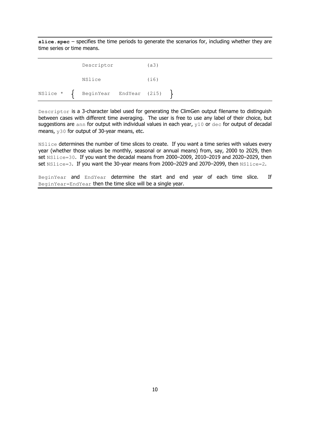**slice.spec** – specifies the time periods to generate the scenarios for, including whether they are time series or time means.

|  | Descriptor                                   | (a3) |  |  |  |
|--|----------------------------------------------|------|--|--|--|
|  | NSlice                                       | (i6) |  |  |  |
|  | NSlice * $\left\{$ BeginYear EndYear (2i5) } |      |  |  |  |

Descriptor is a 3-character label used for generating the ClimGen output filename to distinguish between cases with different time averaging. The user is free to use any label of their choice, but suggestions are ann for output with individual values in each year,  $y10$  or  $\text{dec}$  for output of decadal means, y30 for output of 30-year means, etc.

NSlice determines the number of time slices to create. If you want a time series with values every year (whether those values be monthly, seasonal or annual means) from, say, 2000 to 2029, then set NSlice=30. If you want the decadal means from 2000–2009, 2010–2019 and 2020–2029, then set NSlice=3. If you want the 30-year means from 2000–2029 and 2070–2099, then NSlice=2.

BeginYear and EndYear determine the start and end year of each time slice. If BeginYear=EndYear then the time slice will be a single year.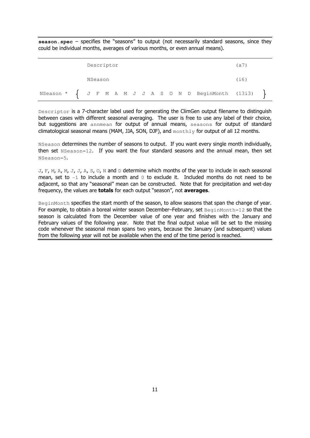**season.spec** – specifies the "seasons" to output (not necessarily standard seasons, since they could be individual months, averages of various months, or even annual means).

|  |         | Descriptor |  |  |  |  |                                                                         | (a)  |  |
|--|---------|------------|--|--|--|--|-------------------------------------------------------------------------|------|--|
|  | NSeason |            |  |  |  |  |                                                                         | (i6) |  |
|  |         |            |  |  |  |  | NSeason * $\left\{$ J F M A M J J A S O N D BeginMonth (13i3) $\left\}$ |      |  |

Descriptor is a 7-character label used for generating the ClimGen output filename to distinguish between cases with different seasonal averaging. The user is free to use any label of their choice, but suggestions are annmean for output of annual means, seasons for output of standard climatological seasonal means (MAM, JJA, SON, DJF), and  $monthly$  for output of all 12 months.

NSeason determines the number of seasons to output. If you want every single month individually, then set NSeason=12. If you want the four standard seasons and the annual mean, then set NSeason=5.

 $J, F, M, A, M, J, J, A, S, O, N$  and D determine which months of the year to include in each seasonal mean, set to  $-1$  to include a month and  $0$  to exclude it. Included months do not need to be adjacent, so that any "seasonal" mean can be constructed. Note that for precipitation and wet-day frequency, the values are **totals** for each output "season", not **averages**.

BeginMonth specifies the start month of the season, to allow seasons that span the change of year. For example, to obtain a boreal winter season December–February, set  $\text{BeginMonth}=12$  so that the season is calculated from the December value of one year and finishes with the January and February values of the following year. Note that the final output value will be set to the missing code whenever the seasonal mean spans two years, because the January (and subsequent) values from the following year will not be available when the end of the time period is reached.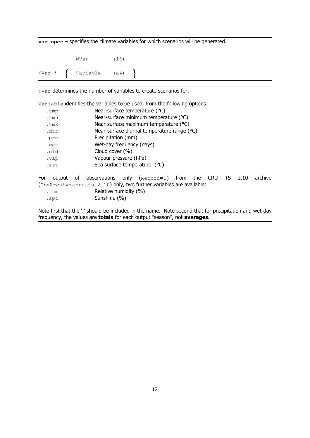**var.spec** – specifies the climate variables for which scenarios will be generated.

| NVar                                      | (i6) |  |
|-------------------------------------------|------|--|
| NVar * $\left\{$ Variable (a4) $\right\}$ |      |  |

NVar determines the number of variables to create scenarios for.

|                      | Variable identifies the variables to be used, from the following options:                                                                                                        |         |  |  |  |  |  |  |  |
|----------------------|----------------------------------------------------------------------------------------------------------------------------------------------------------------------------------|---------|--|--|--|--|--|--|--|
| .tmp                 | Near-surface temperature (°C)                                                                                                                                                    |         |  |  |  |  |  |  |  |
| .tmn                 | Near-surface minimum temperature (°C)                                                                                                                                            |         |  |  |  |  |  |  |  |
| .tmx                 | Near-surface maximum temperature (°C)                                                                                                                                            |         |  |  |  |  |  |  |  |
| .dtr                 | Near-surface diurnal temperature range (°C)                                                                                                                                      |         |  |  |  |  |  |  |  |
| .pre                 | Precipitation (mm)                                                                                                                                                               |         |  |  |  |  |  |  |  |
| .wet                 | Wet-day frequency (days)                                                                                                                                                         |         |  |  |  |  |  |  |  |
| .cld                 | Cloud cover (%)                                                                                                                                                                  |         |  |  |  |  |  |  |  |
| .vap                 | Vapour pressure (hPa)                                                                                                                                                            |         |  |  |  |  |  |  |  |
| .sst                 | Sea surface temperature (°C)                                                                                                                                                     |         |  |  |  |  |  |  |  |
| For<br>.rhm<br>$.\n$ | output of observations only $(Method=1)$ from the CRU TS<br>2.10<br>(ObsArchive=cru_ts_2_10) only, two further variables are available:<br>Relative humidity (%)<br>Sunshine (%) | archive |  |  |  |  |  |  |  |

Note first that the '.' should be included in the name. Note second that for precipitation and wet-day frequency, the values are **totals** for each output "season", not **averages**.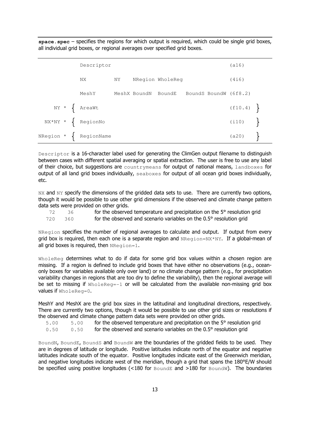**space.spec** – specifies the regions for which output is required, which could be single grid boxes, all individual grid boxes, or regional averages over specified grid boxes.

|  | Descriptor                                 |    |                     |                  |                       | (a16)     |  |
|--|--------------------------------------------|----|---------------------|------------------|-----------------------|-----------|--|
|  | NX                                         | NY |                     | NRegion WholeReg |                       | (4i6)     |  |
|  | MeshY                                      |    | MeshX BoundN BoundE |                  | BoundS BoundW (6f8.2) |           |  |
|  | $NY * \int AreaWt$                         |    |                     |                  |                       | (f10.4)   |  |
|  | $NX*NY * \left\{ \text{RegionNo} \right\}$ |    |                     |                  |                       | $(i10)$ } |  |
|  | NRegion $\star$ { RegionName               |    |                     |                  |                       | $(a20)$ } |  |

Descriptor is a 16-character label used for generating the ClimGen output filename to distinguish between cases with different spatial averaging or spatial extraction. The user is free to use any label of their choice, but suggestions are countrymeans for output of national means, landboxes for output of all land grid boxes individually, seaboxes for output of all ocean grid boxes individually, etc.

NX and NY specify the dimensions of the gridded data sets to use. There are currently two options, though it would be possible to use other grid dimensions if the observed and climate change pattern data sets were provided on other grids.

|     |      | for the observed temperature and precipitation on the 5° resolution grid |
|-----|------|--------------------------------------------------------------------------|
| 720 | 360. | for the observed and scenario variables on the 0.5° resolution grid      |

NRegion specifies the number of regional averages to calculate and output. If output from every grid box is required, then each one is a separate region and  $N_{\text{Region}=NX*NY}$ . If a global-mean of all grid boxes is required, then  $NRegion=1$ .

WholeReg determines what to do if data for some grid box values within a chosen region are missing. If a region is defined to include grid boxes that have either no observations (e.g., oceanonly boxes for variables available only over land) or no climate change pattern (e.g., for precipitation variability changes in regions that are too dry to define the variability), then the regional average will be set to missing if WholeReg=-1 or will be calculated from the available non-missing grid box values if WholeReg=0.

MeshY and MeshX are the grid box sizes in the latitudinal and longitudinal directions, respectively. There are currently two options, though it would be possible to use other grid sizes or resolutions if the observed and climate change pattern data sets were provided on other grids.

5.00 5.00 for the observed temperature and precipitation on the 5° resolution grid

0.50 0.50 for the observed and scenario variables on the 0.5° resolution grid

BoundN, BoundE, BoundS and BoundW are the boundaries of the gridded fields to be used. They are in degrees of latitude or longitude. Positive latitudes indicate north of the equator and negative latitudes indicate south of the equator. Positive longitudes indicate east of the Greenwich meridian, and negative longitudes indicate west of the meridian, though a grid that spans the 180°E/W should be specified using positive longitudes  $\langle$ <180 for BoundE and >180 for BoundW). The boundaries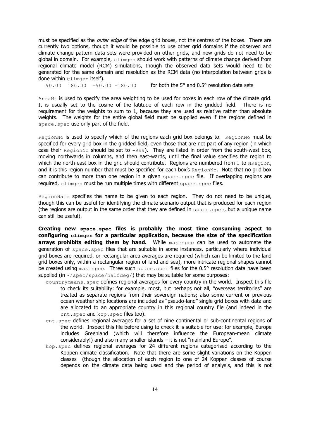must be specified as the *outer edge* of the edge grid boxes, not the centres of the boxes. There are currently two options, though it would be possible to use other grid domains if the observed and climate change pattern data sets were provided on other grids, and new grids do not need to be global in domain. For example,  $clime$  should work with patterns of climate change derived from regional climate model (RCM) simulations, though the observed data sets would need to be generated for the same domain and resolution as the RCM data (no interpolation between grids is done within climgen itself).

90.00 180.00 -90.00 -180.00 for both the 5° and 0.5° resolution data sets

AreaWt is used to specify the area weighting to be used for boxes in each row of the climate grid. It is usually set to the cosine of the latitude of each row in the gridded field. There is no requirement for the weights to sum to 1, because they are used as relative rather than absolute weights. The weights for the entire global field must be supplied even if the regions defined in space.spec use only part of the field.

 $R$ egion $N$ o is used to specify which of the regions each grid box belongs to.  $R$ egion $N$ o must be specified for every grid box in the gridded field, even those that are not part of any region (in which case their RegionNo should be set to  $-999$ ). They are listed in order from the south-west box, moving northwards in columns, and then east-wards, until the final value specifies the region to which the north-east box in the grid should contribute. Regions are numbered from 1 to NRegion, and it is this region number that must be specified for each box's RegionNo. Note that no grid box can contribute to more than one region in a given  $space$  space.spec file. If overlapping regions are required, climgen must be run multiple times with different space.spec files.

RegionName specifies the name to be given to each region. They do not need to be unique, though this can be useful for identifying the climate scenario output that is produced for each region (the regions are output in the same order that they are defined in  $space$ .  $spec$ , but a unique name can still be useful).

**Creating new space.spec files is probably the most time consuming aspect to configuring climgen for a particular application, because the size of the specification arrays prohibits editing them by hand.** While makespec can be used to automate the generation of space.spec files that are suitable in some instances, particularly where individual grid boxes are required, or rectangular area averages are required (which can be limited to the land grid boxes only, within a rectangular region of land and sea), more intricate regional shapes cannot be created using makespec. Three such space.spec files for the 0.5° resolution data have been supplied (in  $\sim$ /spec/space/halfdeg/) that may be suitable for some purposes:

- countrymeans. spec defines regional averages for every country in the world. Inspect this file to check its suitability: for example, most, but perhaps not all, "overseas territories" are treated as separate regions from their sovereign nations; also some current or previous ocean weather ship locations are included as "pseudo-land" single grid boxes with data and are allocated to an appropriate country in this regional country file (and indeed in the cnt.spec and kop.spec files too).
- cnt.spec defines regional averages for a set of nine continental or sub-continental regions of the world. Inspect this file before using to check it is suitable for use: for example, Europe includes Greenland (which will therefore influence the European-mean climate considerably!) and also many smaller islands – it is not "mainland Europe".
- kop.spec defines regional averages for 24 different regions categorised according to the Koppen climate classification. Note that there are some slight variations on the Koppen classes (though the allocation of each region to one of 24 Koppen classes of course depends on the climate data being used and the period of analysis, and this is not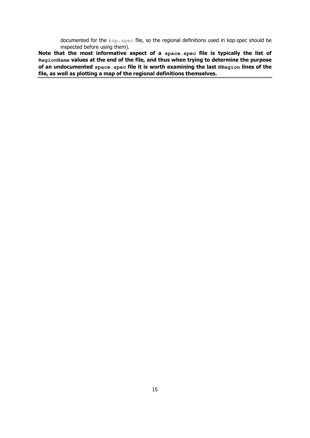documented for the kop.spec file, so the regional definitions used in kop.spec should be inspected before using them).

**Note that the most informative aspect of a space.spec file is typically the list of RegionName values at the end of the file, and thus when trying to determine the purpose of an undocumented space.spec file it is worth examining the last NRegion lines of the file, as well as plotting a map of the regional definitions themselves.**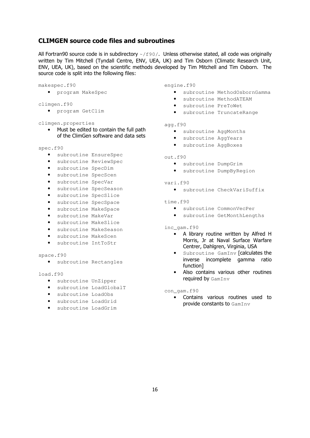## **CLIMGEN source code files and subroutines**

All Fortran90 source code is in subdirectory  $\sim$ / $f90/$ . Unless otherwise stated, all code was originally written by Tim Mitchell (Tyndall Centre, ENV, UEA, UK) and Tim Osborn (Climatic Research Unit, ENV, UEA, UK), based on the scientific methods developed by Tim Mitchell and Tim Osborn. The source code is split into the following files:

### makespec.f90

- program MakeSpec
- climgen.f90
	- program GetClim

### climgen.properties

• Must be edited to contain the full path of the ClimGen software and data sets

#### spec.f90

- subroutine EnsureSpec
- subroutine ReviewSpec
- subroutine SpecDim
- subroutine SpecScen
- subroutine SpecVar
- subroutine SpecSeason
- subroutine SpecSlice
- subroutine SpecSpace
- subroutine MakeSpace
- subroutine MakeVar
- subroutine MakeSlice
- subroutine MakeSeason
- subroutine MakeScen
- subroutine IntToStr

#### space.f90

• subroutine Rectangles

#### load.f90

- subroutine UnZipper
- subroutine LoadGlobalT
- subroutine LoadObs
- subroutine LoadGrid
- subroutine LoadGrim

#### engine.f90

- subroutine MethodOsbornGamma
- subroutine MethodATEAM
- subroutine PreToWet
- subroutine TruncateRange

#### agg.f90

- subroutine AggMonths
- subroutine AggYears
- subroutine AggBoxes

## out.f90

- subroutine DumpGrim
- subroutine DumpByRegion
- vari.f90
	- subroutine CheckVariSuffix

#### time.f90

- subroutine CommonVecPer
- subroutine GetMonthLengths

#### inc\_gam.f90

- A library routine written by Alfred H Morris, Jr at Naval Surface Warfare Centrer, Dahlgren, Virginia, USA
- Subroutine GamInv [calculates the inverse incomplete gamma ratio function]
- Also contains various other routines required by GamInv

con\_gam.f90

• Contains various routines used to provide constants to GamInv